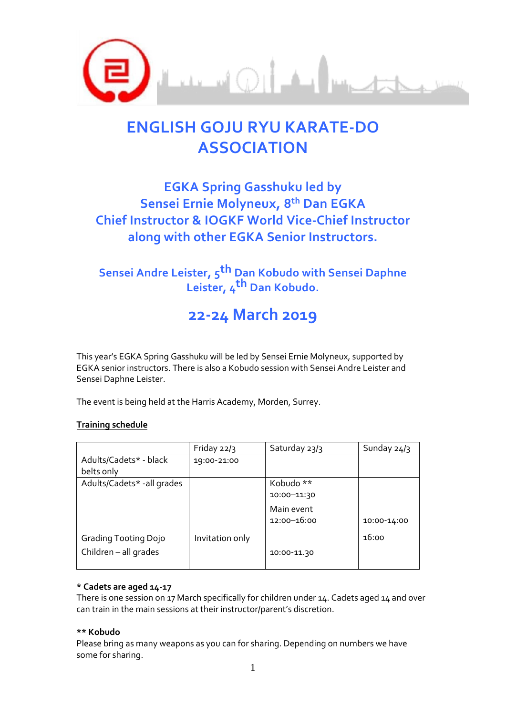

# **ENGLISH GOJU RYU KARATE-DO ASSOCIATION**

### **EGKA Spring Gasshuku led by Sensei Ernie Molyneux, 8th Dan EGKA Chief Instructor & IOGKF World Vice-Chief Instructor along with other EGKA Senior Instructors.**

### **Sensei Andre Leister, 5 th Dan Kobudo with Sensei Daphne Leister, 4 th Dan Kobudo.**

## **22-24 March 2019**

This year's EGKA Spring Gasshuku will be led by Sensei Ernie Molyneux, supported by EGKA senior instructors. There is also a Kobudo session with Sensei Andre Leister and Sensei Daphne Leister.

The event is being held at the Harris Academy, Morden, Surrey.

#### **Training schedule**

|                             | Friday $22/3$   | Saturday 23/3   | Sunday 24/3 |
|-----------------------------|-----------------|-----------------|-------------|
| Adults/Cadets* - black      | 19:00-21:00     |                 |             |
| belts only                  |                 |                 |             |
| Adults/Cadets* - all grades |                 | Kobudo **       |             |
|                             |                 | 10:00-11:30     |             |
|                             |                 | Main event      |             |
|                             |                 | $12:00 - 16:00$ | 10:00-14:00 |
| Grading Tooting Dojo        | Invitation only |                 | 16:00       |
| Children - all grades       |                 | 10:00-11.30     |             |
|                             |                 |                 |             |

#### **\* Cadets are aged 14-17**

There is one session on 17 March specifically for children under 14. Cadets aged 14 and over can train in the main sessions at their instructor/parent's discretion.

#### **\*\* Kobudo**

Please bring as many weapons as you can for sharing. Depending on numbers we have some for sharing.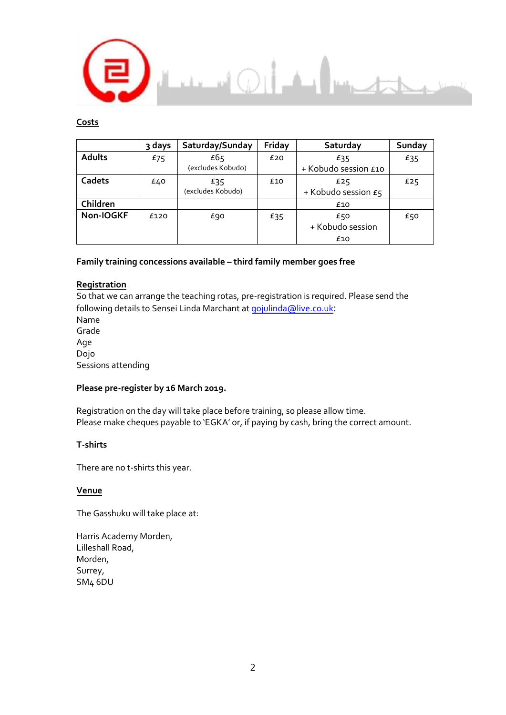

#### **Costs**

|           | 3 days | Saturday/Sunday          | Friday | Saturday                       | Sunday |
|-----------|--------|--------------------------|--------|--------------------------------|--------|
| Adults    | £75    | £65<br>(excludes Kobudo) | £20    | £35<br>+ Kobudo session £10    | £35    |
| Cadets    | £40    | £35<br>(excludes Kobudo) | £10    | £25<br>+ Kobudo session £5     | £25    |
| Children  |        |                          |        | £10                            |        |
| Non-IOGKF | £120   | £90                      | £35    | £50<br>+ Kobudo session<br>£10 | £50    |

#### **Family training concessions available – third family member goes free**

#### **Registration**

So that we can arrange the teaching rotas, pre-registration is required. Please send the following details to Sensei Linda Marchant at [gojulinda@live.co.uk](mailto:gojulinda@live.co.uk): Name Grade Age Dojo Sessions attending

#### **Please pre-register by 16 March 2019.**

Registration on the day will take place before training, so please allow time. Please make cheques payable to 'EGKA' or, if paying by cash, bring the correct amount.

#### **T-shirts**

There are no t-shirts this year.

#### **Venue**

The Gasshuku will take place at:

Harris Academy Morden, Lilleshall Road, Morden, Surrey, SM4 6DU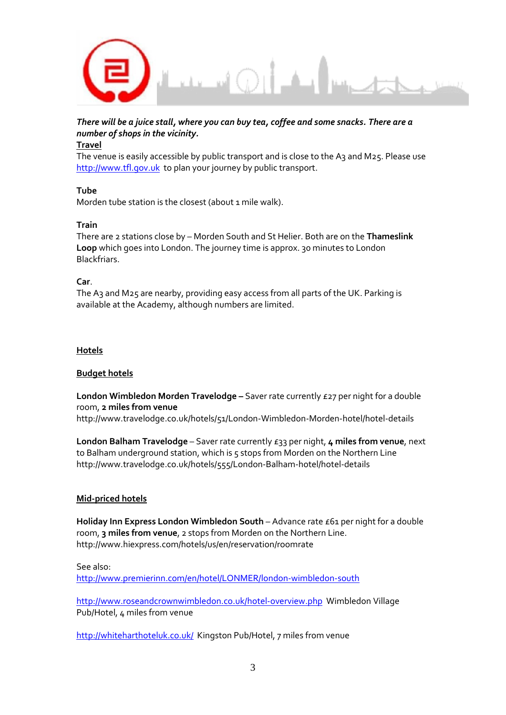

#### *There will be a juice stall, where you can buy tea, coffee and some snacks. There are a number of shops in the vicinity.*

#### **Travel**

The venue is easily accessible by public transport and is close to the A3 and M25. Please use [http://www.tfl.gov.uk](http://www.tfl.gov.uk/) to plan your journey by public transport.

#### **Tube**

Morden tube station is the closest (about 1 mile walk).

#### **Train**

There are 2 stations close by – Morden South and St Helier. Both are on the **Thameslink Loop** which goes into London. The journey time is approx. 30 minutes to London Blackfriars.

#### **Car**.

The A3 and M25 are nearby, providing easy access from all parts of the UK. Parking is available at the Academy, although numbers are limited.

#### **Hotels**

#### **Budget hotels**

**London Wimbledon Morden Travelodge –** Saver rate currently £27 per night for a double room, **2 miles from venue**

http://www.travelodge.co.uk/hotels/51/London-Wimbledon-Morden-hotel/hotel-details

**London Balham Travelodge** – Saver rate currently £33 per night, **4 miles from venue**, next to Balham underground station, which is 5 stops from Morden on the Northern Line http://www.travelodge.co.uk/hotels/555/London-Balham-hotel/hotel-details

#### **Mid-priced hotels**

Holiday Inn Express London Wimbledon South - Advance rate £61 per night for a double room, **3 miles from venue**, 2 stops from Morden on the Northern Line. http://www.hiexpress.com/hotels/us/en/reservation/roomrate

#### See also:

<http://www.premierinn.com/en/hotel/LONMER/london-wimbledon-south>

<http://www.roseandcrownwimbledon.co.uk/hotel-overview.php>Wimbledon Village Pub/Hotel, 4 miles from venue

<http://whiteharthoteluk.co.uk/>Kingston Pub/Hotel, 7 miles from venue